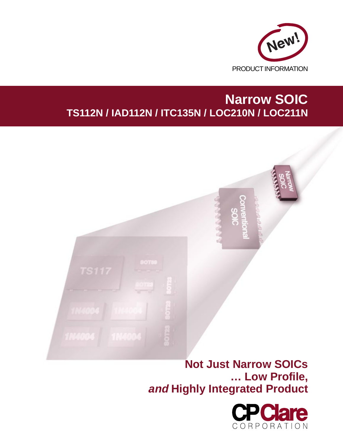

# **Narrow SOIC TS112N / IAD112N / ITC135N / LOC210N / LOC211N**



**… Low Profile, and Highly Integrated Product**

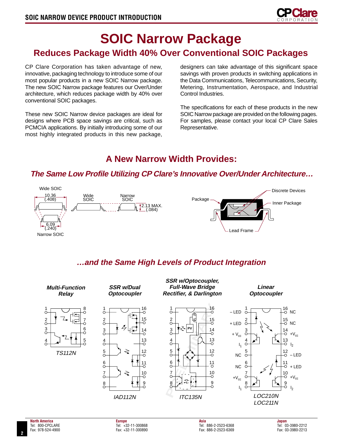

# **SOIC Narrow Package Reduces Package Width 40% Over Conventional SOIC Packages**

CP Clare Corporation has taken advantage of new, innovative, packaging technology to introduce some of our most popular products in a new SOIC Narrow package. The new SOIC Narrow package features our Over/Under architecture, which reduces package width by 40% over conventional SOIC packages.

These new SOIC Narrow device packages are ideal for designs where PCB space savings are critical, such as PCMCIA applications. By initially introducing some of our most highly integrated products in this new package,

designers can take advantage of this significant space savings with proven products in switching applications in the Data Communications, Telecommunications, Security, Metering, Instrumentation, Aerospace, and Industrial Control Industries.

The specifications for each of these products in the new SOIC Narrow package are provided on the following pages. For samples, please contact your local CP Clare Sales Representative.

## **A New Narrow Width Provides:**

## **The Same Low Profile Utilizing CP Clare's Innovative Over/Under Architecture…**



## **…and the Same High Levels of Product Integration**

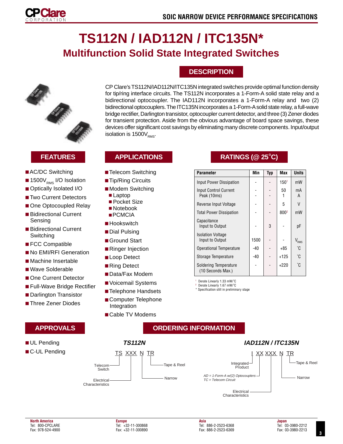

# **TS112N / IAD112N / ITC135N\* Multifunction Solid State Integrated Switches**



- AC/DC Switching
- $\blacksquare$  1500 $V_{RMS}$  I/O Isolation
- Optically Isolated I/O
- Two Current Detectors
- One Optocoupled Relay
- Bidirectional Current Sensing
- Bidirectional Current Switching
- FCC Compatible
- No EMI/RFI Generation
- Machine Insertable
- Wave Solderable
- One Current Detector
- Full-Wave Bridge Rectifier
- Darlington Transistor
- Three Zener Diodes

## **APPROVALS**

- UL Pending
- C-UL Pending

**DESCRIPTION**

CP Clare's TS112N/IAD112N/ITC135N integrated switches provide optimal function density for tip/ring interface circuits. The TS112N incorporates a 1-Form-A solid state relay and a bidirectional optocoupler. The IAD112N incorporates a 1-Form-A relay and two (2) bidirectional optocouplers. The ITC135N incorporates a 1-Form-A solid state relay, a full-wave bridge rectifier, Darlington transistor, optocoupler current detector, and three (3) Zener diodes for transient protection. Aside from the obvious advantage of board space savings, these devices offer significant cost savings by eliminating many discrete components. Input/output isolation is  $1500V_{PMS}$ .

## **APPLICATIONS**

- Telecom Switching
- Tip/Ring Circuits
- Modem Switching
	- Laptop
	- Pocket Size
- Notebook ■ PCMCIA
- Hookswitch
- Dial Pulsing
- Ground Start
- Ringer Injection
- Loop Detect
- Ring Detect
- Data/Fax Modem
- Voicemail Systems
- Telephone Handsets
- Computer Telephone Integration
- Cable TV Modems

## **FEATURES RATINGS (@ 25**°**C)**

| <b>Parameter</b>                            | Min   | Typ | Max              | <b>Units</b> |
|---------------------------------------------|-------|-----|------------------|--------------|
| Input Power Dissipation                     |       |     | 150 <sup>1</sup> | mW           |
| <b>Input Control Current</b><br>Peak (10ms) |       |     | 50               | mA<br>A      |
| Reverse Input Voltage                       |       |     | 5                | V            |
| <b>Total Power Dissipation</b>              |       |     | 800 <sup>2</sup> | mW           |
| Capacitance<br>Input to Output              |       | 3   |                  | рF           |
| <b>Isolation Voltage</b><br>Input to Output | 1500  |     |                  | $V_{RMS}$    |
| <b>Operational Temperature</b>              | -40   |     | $+85$            | °C           |
| Storage Temperature                         | $-40$ |     | $+125$           | ۴C           |
| Soldering Temperature<br>(10 Seconds Max.)  |       |     | $+220$           | °C           |

Derate Linearly 1.33 mW/°C

2 Derate Linearly 1.67 mW/˚C \* Specification still in preliminary stage

| C-UL Pending<br>XXX N<br>TR<br><b>XX XXX</b><br>ſS.<br><u>ΙR</u><br>$\mathbf N$<br>Tape & Reel<br>Integrated $-$<br>Tape & Reel<br>Telecom·<br>Product<br>Switch<br>$AD = 1$ -Form-A w/(2) Optocouplers $-$<br>Narrow<br>Narrow<br>$TC = Telecom Circuit$<br>Electrical<br>Characteristics<br>Electrical<br>Characteristics | UL Pending | <b>TS112N</b> | <b>IAD112N / ITC135N</b> |  |
|-----------------------------------------------------------------------------------------------------------------------------------------------------------------------------------------------------------------------------------------------------------------------------------------------------------------------------|------------|---------------|--------------------------|--|
|                                                                                                                                                                                                                                                                                                                             |            |               |                          |  |

**ORDERING INFORMATION**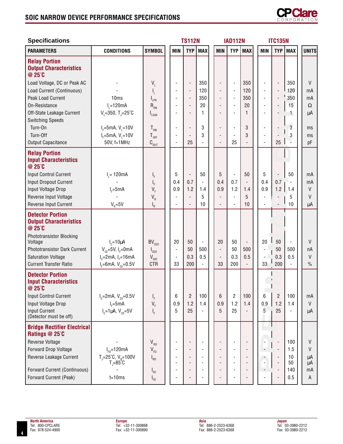## **SOIC NARROW DEVICE PERFORMANCE SPECIFICATIONS**



| <b>Specifications</b>                                              |                                                           |                                     |                                            | <b>TS112N</b>                              |                          |                          | <b>IAD112N</b>           |                          |                                            | <b>ITC135N</b>                                       |                          |               |
|--------------------------------------------------------------------|-----------------------------------------------------------|-------------------------------------|--------------------------------------------|--------------------------------------------|--------------------------|--------------------------|--------------------------|--------------------------|--------------------------------------------|------------------------------------------------------|--------------------------|---------------|
| <b>PARAMETERS</b>                                                  | <b>CONDITIONS</b>                                         | <b>SYMBOL</b>                       | <b>MIN</b>                                 | <b>TYP</b>                                 | <b>MAX</b>               | <b>MIN</b>               | <b>TYP</b>               | <b>MAX</b>               | <b>MIN</b>                                 | <b>TYP</b>                                           | <b>MAX</b>               | <b>UNITS</b>  |
| <b>Relay Portion</b><br><b>Output Characteristics</b><br>@ 25°C    |                                                           |                                     |                                            |                                            |                          |                          |                          |                          |                                            |                                                      |                          |               |
| Load Voltage, DC or Peak AC                                        |                                                           | $V_{L}$                             |                                            | $\overline{\phantom{a}}$                   | 350                      |                          | $\overline{\phantom{a}}$ | 350                      | $\overline{\phantom{a}}$                   | $\overline{\phantom{a}}$                             | 350                      | V             |
| Load Current (Continuous)                                          |                                                           | I <sub>L</sub>                      | $\blacksquare$                             | $\blacksquare$                             | 120                      |                          | $\overline{\phantom{a}}$ | 120                      | $\overline{\phantom{a}}$                   | $\overline{\phantom{a}}$                             | 120                      | mA            |
| Peak Load Current                                                  | 10ms                                                      | $I_{LR}$                            | $\blacksquare$                             | $\Box$                                     | 350                      |                          | $\overline{\phantom{a}}$ | 350                      | $\blacksquare$                             | $\overline{\phantom{a}}$                             | '350                     | mA            |
| On-Resistance                                                      | $I1=120mA$                                                | $R_{on}$                            | $\overline{\phantom{a}}$                   | $\overline{\phantom{a}}$                   | 20                       |                          | $\overline{\phantom{a}}$ | 20                       | $\overline{\phantom{a}}$                   | $\overline{\phantom{a}}$                             | 15                       | $\Omega$      |
| Off-State Leakage Current                                          | $V_1 = 350$ , T <sub>J</sub> =25°C                        | LEAK                                |                                            | $\overline{\phantom{a}}$                   | 1                        |                          |                          | 1                        |                                            |                                                      | 1                        | μA            |
| <b>Switching Speeds</b>                                            |                                                           |                                     |                                            |                                            |                          |                          |                          |                          |                                            |                                                      | $\overline{3}$           |               |
| Turn-On<br>Turn-Off                                                | $I_F = 5mA, V_1 = 10V$                                    | $T_{on}$                            |                                            | $\overline{\phantom{a}}$                   | 3<br>3                   |                          | $\overline{\phantom{a}}$ | 3<br>3                   | $\overline{\phantom{a}}$                   |                                                      |                          | ms            |
| Output Capacitance                                                 | $I_{F} = 5mA, V_{1} = 10V$<br>50V, f=1MHz                 | $T_{_{\mathrm{OFF}}}$               | $\blacksquare$<br>$\overline{\phantom{a}}$ | $\overline{a}$<br>25                       |                          |                          | 25                       | $\overline{\phantom{a}}$ | $\overline{\phantom{a}}$<br>$\blacksquare$ | 25                                                   | 3                        | ms<br>pF      |
| <b>Relay Portion</b><br><b>Input Characteristics</b><br>@ 25°C     |                                                           | $\text{C}_{\text{OUT}}$             |                                            |                                            |                          |                          |                          |                          |                                            |                                                      |                          |               |
| Input Control Current                                              | $I_{1} = 120mA$                                           | ı,                                  | 5                                          | $\overline{\phantom{a}}$                   | 50                       | 5                        | $\overline{\phantom{a}}$ | 50                       | 5                                          | $\overline{\phantom{a}}$                             | 50                       | mA            |
| <b>Input Dropout Current</b>                                       |                                                           |                                     | 0.4                                        | 0.7                                        | $\blacksquare$           | 0.4                      | 0.7                      | $\overline{\phantom{a}}$ | 0.4                                        | 0.7                                                  |                          | mA            |
| Input Voltage Drop                                                 | $I_c = 5mA$                                               | $V_F$                               | 0.9                                        | 1.2                                        | 1.4                      | 0.9                      | 1.2                      | 1.4                      | 0.9                                        | 1.2                                                  | 1.4                      | V             |
| Reverse Input Voltage                                              |                                                           | $V_R$                               |                                            | $\overline{\phantom{a}}$<br>$\frac{1}{2}$  | 5                        |                          | $\blacksquare$           | 5                        | $\blacksquare$                             |                                                      | 5                        | V             |
| Reverse Input Current                                              | $V_{\rm B} = 5V$                                          | 'R                                  |                                            |                                            | 10                       |                          |                          | 10                       |                                            |                                                      | 10                       | μA            |
| <b>Detector Portion</b><br><b>Output Characteristics</b><br>@ 25°C |                                                           |                                     |                                            |                                            |                          |                          |                          |                          |                                            |                                                      |                          |               |
| Phototransistor Blocking<br>Voltage                                | $I_c = 10 \mu A$                                          | BV <sub>CFO</sub>                   | 20                                         | 50                                         | $\overline{\phantom{a}}$ | 20                       | 50                       | $\overline{\phantom{a}}$ | 20                                         | 50                                                   |                          | $\vee$        |
| <b>Phototransistor Dark Current</b>                                | $V_{CF}$ =5V, I <sub>F</sub> =0mA                         | $\mathsf{I}_{\mathsf{CEO}}$         | $\overline{\phantom{a}}$                   | 50                                         | 500                      | $\blacksquare$           | 50                       | 500                      |                                            | 50                                                   | 500                      | пA            |
| <b>Saturation Voltage</b>                                          | $I_c$ =2mA, $I_r$ =16mA                                   | $V_{\text{SAT}}$                    | $\overline{\phantom{a}}$                   | 0.3                                        | 0.5                      | $\overline{\phantom{a}}$ | 0.3                      | 0.5                      | $\overline{\phantom{a}}$                   | 0.3                                                  | 0.5                      | $\vee$        |
| <b>Current Transfer Ratio</b>                                      | $I_F = 6mA, V_{CE} = 0.5V$                                | <b>CTR</b>                          | 33                                         | 200                                        | $\blacksquare$           | 33                       | 200                      |                          | 33                                         | 200                                                  | $\overline{\phantom{0}}$ | $\frac{0}{0}$ |
| <b>Detector Portion</b><br><b>Input Characteristics</b><br>@ 25°C  |                                                           |                                     |                                            |                                            |                          |                          |                          |                          |                                            |                                                      |                          |               |
| <b>Input Control Current</b>                                       | $I_c = 2mA, V_{cF} = 0.5V$                                | I <sub>F</sub>                      | 6                                          | $\overline{c}$                             | 100                      | 6                        | 2                        | 100                      | 6                                          | $\sqrt{2}$                                           | 100                      | mA            |
| Input Voltage Drop                                                 | $I_F = 5mA$                                               | $V_F$                               | 0.9                                        | 1.2                                        | 1.4                      | 0.9                      | 1.2                      | 1.4                      | 0.9                                        | 1.2                                                  | 1.4                      | V             |
| <b>Input Current</b><br>(Detector must be off)                     | $I_c = 1 \mu A$ , $V_{ce} = 5V$                           | I <sub>F</sub>                      | 5                                          | 25                                         |                          | 5                        | 25                       |                          | 5                                          | 25                                                   |                          | μA            |
| <b>Bridge Rectifier Electrical</b><br>Ratings @ 25°C               |                                                           |                                     |                                            |                                            |                          |                          |                          |                          |                                            |                                                      |                          |               |
| Reverse Voltage                                                    |                                                           | $\mathsf{V}_{\mathsf{R}\mathsf{D}}$ |                                            | $\overline{\phantom{a}}$                   |                          |                          |                          |                          |                                            |                                                      | 100                      | $\mathsf{V}$  |
| Forward Drop Voltage                                               | $I_{FD} = 120mA$                                          | $V_{FD}$                            |                                            | $\overline{a}$                             |                          |                          |                          |                          |                                            |                                                      | 1.5                      | V             |
| Reverse Leakage Current                                            | $T_{J} = 25^{\circ}C, V_{R} = 100V$<br>$T = 85^{\circ}$ C | $I_{RD}$                            |                                            | $\overline{\phantom{a}}$<br>$\blacksquare$ |                          |                          |                          |                          |                                            | $\overline{\phantom{a}}$<br>$\overline{\phantom{a}}$ | 10<br>50                 | μA<br>μA      |
| Forward Current (Continuous)                                       |                                                           | $I_{FD}$                            |                                            | $\overline{a}$                             |                          |                          |                          |                          |                                            |                                                      | 140                      | mA            |
| Forward Current (Peak)                                             | $t = 10ms$                                                | $I_{FD}$                            | $\overline{a}$                             | $\overline{\phantom{a}}$                   |                          |                          |                          |                          |                                            |                                                      | 0.5                      | A             |
|                                                                    |                                                           |                                     |                                            |                                            |                          |                          |                          |                          |                                            |                                                      |                          |               |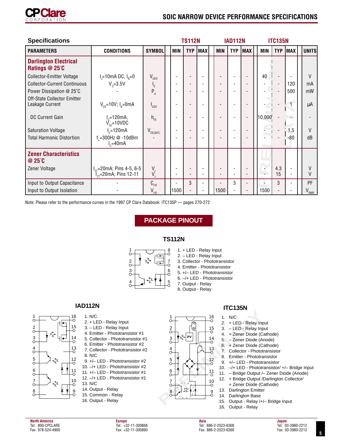

| <b>Specifications</b>                               |                                                                           |                         |                               | <b>TS112N</b>            |                          |            | <b>IAD112N</b>           |            |            | <b>ITC135N</b> |            |              |
|-----------------------------------------------------|---------------------------------------------------------------------------|-------------------------|-------------------------------|--------------------------|--------------------------|------------|--------------------------|------------|------------|----------------|------------|--------------|
| <b>PARAMETERS</b>                                   | <b>CONDITIONS</b>                                                         | <b>SYMBOL</b>           | <b>MIN</b>                    | <b>TYP</b>               | <b>MAX</b>               | <b>MIN</b> | <b>TYP</b>               | <b>MAX</b> | <b>MIN</b> | <b>TYP</b>     | <b>MAX</b> | <b>UNITS</b> |
| <b>Darlington Electrical</b><br>Ratings $@$ 25 $°C$ |                                                                           |                         |                               |                          |                          |            |                          |            |            |                |            |              |
| <b>Collector-Emitter Voltage</b>                    | $I_c = 10$ mA DC, $I_R = 0$                                               | $V_{CEO}$               |                               |                          | $\overline{\phantom{a}}$ |            |                          |            | 40         |                |            | V            |
| <b>Collector-Current Continuous</b>                 | $V_c = 3.5V$                                                              | $\mathsf{I}_\mathsf{C}$ |                               |                          | $\overline{\phantom{a}}$ |            | $\overline{\phantom{a}}$ |            |            |                | 120        | mA           |
| Power Dissipation @ 25°C                            |                                                                           | $P_{d}$                 |                               |                          |                          |            |                          |            |            |                | 500        | mW           |
| Off-State Collector Emitter<br>Leakage Current      | $V_{CF} = 10V$ ; $I_R = 0$ mA                                             | $I_{CFX}$               |                               |                          |                          |            |                          |            |            |                | 1.         | μA           |
| DC Current Gain                                     | $V_{\text{ce}}$ =120mA,<br>$V_{\text{ce}}$ =10VDC                         | $h_{FF}$                |                               |                          | $\blacksquare$           |            | $\overline{\phantom{a}}$ |            | 10,000     |                |            |              |
| <b>Saturation Voltage</b>                           | $I_c = 120mA$                                                             | $V_{CE(SAT)}$           | ٠                             | $\overline{\phantom{0}}$ | $\overline{\phantom{a}}$ |            | ٠                        |            |            |                | 1.5        | V            |
| <b>Total Harmonic Distortion</b>                    | $f_{0}$ =300Hz $\omega$ -10dBm<br>$I_c = 40mA$                            |                         |                               |                          |                          |            |                          |            |            |                | $-80$      | dB           |
| <b>Zener Characteristics</b><br>$@25^\circ C$       |                                                                           |                         |                               |                          |                          |            |                          |            |            |                |            |              |
| Zener Voltage                                       | I <sub>zt</sub> =20mA; Pins 4-5, 6-5<br>T <sub>zt</sub> =20mA; Pins 12-11 | $V_z$<br>$V_z^2$        | -<br>$\overline{\phantom{0}}$ |                          | $\overline{\phantom{a}}$ |            | $\overline{\phantom{a}}$ |            |            | 4.3<br>15      |            |              |
| Input to Output Capacitance                         |                                                                           | $C_{1/0}$               |                               | 3                        |                          |            | 3                        |            |            | 3              |            | PF           |
| Input to Output Isolation                           |                                                                           | $V_{I/O}$               | 1500                          | $\overline{\phantom{0}}$ | ٠                        | 1500       | $\overline{\phantom{a}}$ |            | 1500       |                |            | $V_{RMS}$    |

Note: Please refer to the performance curves in the 1997 CP Clare Databook: ITC135P — pages 270-272

## **PACKAGE PINOUT**

#### **TS112N**

1

 $rac{2}{\circ}$  $\frac{3}{5}$  $\sigma$ 

 $\frac{5}{\circ}$  $\frac{6}{0}$  $\frac{7}{\circ}$ 8



1. + LED - Relay Input 2. – LED - Relay Input 3. Collector - Phototransistor 4. Emitter - Phototransistor 5. +/– LED - Phototransistor 6. –/+ LED - Phototransistor 7. Output - Relay 8. Output - Relay

**PV**





- 15. Output Relay /+/– Bridge Input
- 16. Output Relay

 $\sigma$  $\frac{2}{5}$ 3  $\sigma$ 

 $\frac{5}{\circ}$ 

6  $\sigma$ 8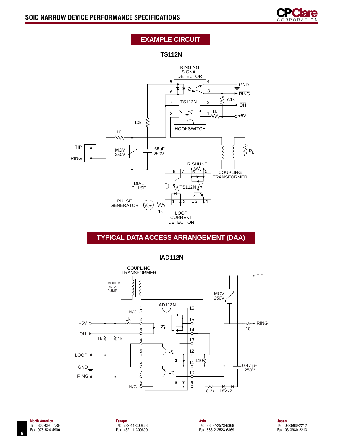

## **EXAMPLE CIRCUIT**

**TS112N**



## **TYPICAL DATA ACCESS ARRANGEMENT (DAA)**

**IAD112N**

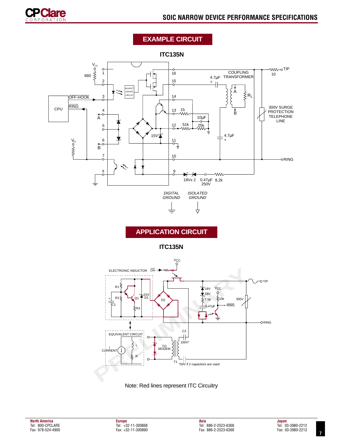

## **EXAMPLE CIRCUIT**

**ITC135N**





Note: Red lines represent ITC Circuitry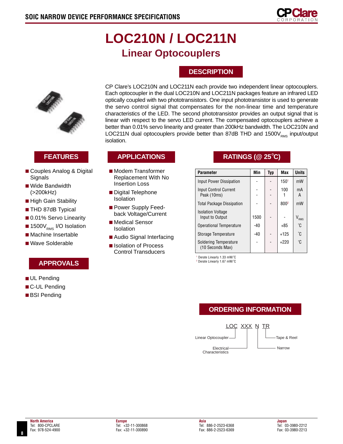

# **LOC210N / LOC211N Linear Optocouplers**

## **DESCRIPTION**

CP Clare's LOC210N and LOC211N each provide two independent linear optocouplers. Each optocoupler in the dual LOC210N and LOC211N packages feature an infrared LED



- Couples Analog & Digital Signals
- Wide Bandwidth (>200kHz)
- High Gain Stability
- THD 87dB Typical
- 0.01% Servo Linearity
- $\blacksquare$  1500 $V_{\rm rms}$  I/O Isolation
- Machine Insertable
- Wave Solderable

## **APPROVALS**

- UL Pending
- C-UL Pending
- BSI Pending

optically coupled with two phototransistors. One input phototransistor is used to generate the servo control signal that compensates for the non-linear time and temperature characteristics of the LED. The second phototransistor provides an output signal that is linear with respect to the servo LED current. The compensated optocouplers achieve a better than 0.01% servo linearity and greater than 200kHz bandwidth. The LOC210N and LOC211N dual optocouplers provide better than 87dB THD and 1500 $V_{PMS}$  input/output isolation.

- Modem Transformer Replacement With No Insertion Loss
- Digital Telephone Isolation
- Power Supply Feedback Voltage/Current
- Medical Sensor Isolation
- Audio Signal Interfacing
- Isolation of Process Control Transducers

## **FEATURES APPLICATIONS RATINGS (@ 25**°**C)**

| <b>Parameter</b>                            | Min   | Typ | Max              | <b>Units</b>  |
|---------------------------------------------|-------|-----|------------------|---------------|
| Input Power Dissipation                     |       |     | 150 <sup>1</sup> | mW            |
| <b>Input Control Current</b><br>Peak (10ms) |       |     | 100              | mA<br>A       |
| <b>Total Package Dissipation</b>            |       |     | 800 <sup>2</sup> | mW            |
| <b>Isolation Voltage</b><br>Input to Output | 1500  |     |                  | $V_{\rm RMS}$ |
| <b>Operational Temperature</b>              | $-40$ |     | $+85$            | °C            |
| Storage Temperature                         | -40   |     | $+125$           | °C            |
| Soldering Temperature<br>(10 Seconds Max)   |       |     | $+220$           | °C            |

1 Derate Linearly 1.33 mW/° C

2 Derate Linearly 1.67 mW/° C

## **ORDERING INFORMATION**

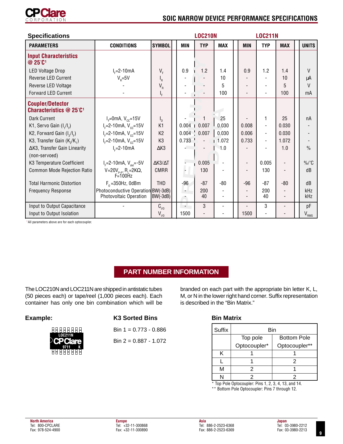

| <b>Specifications</b>                                     |                                                              |                           | <b>LOC210N</b>           |                 |                          |  |            | <b>LOC211N</b>           |            |  |                             |  |
|-----------------------------------------------------------|--------------------------------------------------------------|---------------------------|--------------------------|-----------------|--------------------------|--|------------|--------------------------|------------|--|-----------------------------|--|
| <b>PARAMETERS</b>                                         | <b>CONDITIONS</b>                                            | <b>SYMBOL</b>             | <b>MIN</b>               | <b>TYP</b>      | <b>MAX</b>               |  | <b>MIN</b> | <b>TYP</b>               | <b>MAX</b> |  | <b>UNITS</b>                |  |
| <b>Input Characteristics</b><br>$@$ 25 $°C$ <sup>1</sup>  |                                                              |                           |                          |                 |                          |  |            |                          |            |  |                             |  |
| LED Voltage Drop                                          | $I_c = 2 - 10mA$                                             | $V_F$                     | 0.9                      | 1.2             | 1.4                      |  | 0.9        | 1.2                      | 1.4        |  | $\vee$                      |  |
| Reverse LED Current                                       | $V_{\rm B} = 5V$                                             | $I_R$                     |                          |                 | 10                       |  |            |                          | 10         |  | μA                          |  |
| Reverse LED Voltage                                       |                                                              | $V_{R}$                   |                          |                 | 5                        |  |            | $\overline{\phantom{a}}$ | 5          |  | V                           |  |
| <b>Forward LED Current</b>                                |                                                              | ι ⊧                       |                          |                 | 100                      |  |            | $\overline{\phantom{a}}$ | 100        |  | mA                          |  |
| <b>Coupler/Detector</b><br><b>Characteristics @ 25°C1</b> |                                                              |                           |                          |                 |                          |  |            |                          |            |  |                             |  |
| Dark Current                                              | $I_F$ =0mA, $V_{cc}$ =15V                                    | $\mathsf{I}_{\mathsf{D}}$ |                          |                 | 25                       |  |            | $\mathbf{1}$             | 25         |  | nA                          |  |
| K1, Servo Gain $(I, / I_{F})$                             | $I_{\rm r}$ =2-10mA, V <sub>cc</sub> =15V                    | K <sub>1</sub>            | $0.004$ 1                | 0.007           | 0.030                    |  | 0.008      | $\blacksquare$           | 0.030      |  |                             |  |
| K2, Forward Gain $(I_2/I_1)$                              | $I_{r}$ =2-10mA, $V_{cc}$ =15V                               | K <sub>2</sub>            |                          | $0.004 - 0.007$ | 0.030                    |  | 0.006      | ÷,                       | 0.030      |  |                             |  |
| K3, Transfer Gain (K <sub>2</sub> /K <sub>1</sub> )       | $I_F$ =2-10mA, $V_{cc}$ =15V                                 | K <sub>3</sub>            | 0.733                    |                 | 1.072                    |  | 0.733      |                          | 1.072      |  |                             |  |
| ∆K3, Transfer Gain Linearity<br>(non-servoed)             | $I_c = 2 - 10$ mA                                            | $\Delta$ K3               |                          |                 | 1.0                      |  |            |                          | 1.0        |  | $\frac{0}{0}$               |  |
| K3 Temperature Coefficient                                | $I_{F} = 2 - 10 \text{ mA}, V_{\text{det}} = -5V$            | $\Delta$ K3/ $\Delta$ T   |                          | 0.005           | $\overline{\phantom{a}}$ |  |            | 0.005                    |            |  | $\frac{9}{6}$ / $\degree$ C |  |
| Common Mode Rejection Ratio                               | V=20V <sub>P-P</sub> , R <sub>1</sub> =2KΩ,<br>F=100Hz       | <b>CMRR</b>               |                          | 130             |                          |  |            | 130                      |            |  | dB                          |  |
| <b>Total Harmonic Distortion</b>                          | $F_0$ = 350Hz, 0dBm                                          | <b>THD</b>                | $-96$                    | $-87$           | $-80$                    |  | $-96$      | $-87$                    | $-80$      |  | dB                          |  |
| <b>Frequency Response</b>                                 | Photoconductive Operation BW(-3dB)<br>Photovoltaic Operation | $BW(-3dB)$                | ÷<br>٠                   | 200<br>40       |                          |  |            | 200<br>40                |            |  | kHz<br>kHz                  |  |
| Input to Output Capacitance                               |                                                              | $C_{1/0}$                 | $\overline{\phantom{a}}$ | 3               | $\overline{\phantom{a}}$ |  |            | 3                        |            |  | pF                          |  |
| Input to Output Isolation                                 |                                                              | $V_{I/O}$                 | 1500                     |                 |                          |  | 1500       |                          |            |  | $\rm V_{\rm RMS}$           |  |

1 All parameters above are for each optocoupler.

## **PART NUMBER INFORMATION**

The LOC210N and LOC211N are shipped in antistatic tubes (50 pieces each) or tape/reel (1,000 pieces each). Each container has only one bin combination which will be



### **Example: K3 Sorted Bins**

Bin 1 = 0.773 - 0.886

Bin  $2 = 0.887 - 1.072$ 

## M, or N in the lower right hand corner. Suffix representation is described in the "Bin Matrix."

branded on each part with the appropriate bin letter K, L,

## **Bin Matrix**

| Suffix | Bin                      |                    |  |  |  |  |  |  |  |  |
|--------|--------------------------|--------------------|--|--|--|--|--|--|--|--|
|        | Top pole                 | <b>Bottom Pole</b> |  |  |  |  |  |  |  |  |
|        | Optocoupler*             | Optocoupler**      |  |  |  |  |  |  |  |  |
| Κ      |                          |                    |  |  |  |  |  |  |  |  |
|        |                          | 2                  |  |  |  |  |  |  |  |  |
| М      | 2                        |                    |  |  |  |  |  |  |  |  |
| N      | $\overline{\phantom{0}}$ | .                  |  |  |  |  |  |  |  |  |

\* Top Pole Optocoupler: Pins 1, 2, 3, 4, 13, and 14. \*\* Bottom Pole Optocoupler: Pins 7 through 12.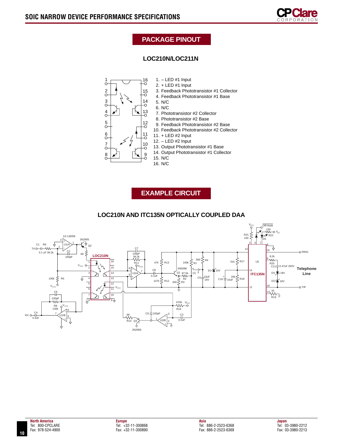

## **PACKAGE PINOUT**

## **LOC210N/LOC211N**



- 1. LED #1 Input
- 2. + LED #1 Input 3. Feedback Phototransistor #1 Collector
- 4. Feedback Phototransistor #1 Base
- 5. N/C
- 6. N/C
- 7. Phototransistor #2 Collector
- 8. Phototransistor #2 Base
- 9. Feedback Phototransistor #2 Base
- 10. Feedback Phototransistor #2 Collector
- 11. + LED #2 Input
	- 12. LED #2 Input
	- 13. Output Phototransistor #1 Base
	- 14. Output Phototransistor #1 Collector
	- 15. N/C 16. N/C

**EXAMPLE CIRCUIT**



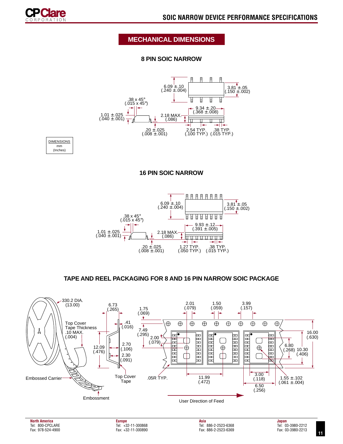

## **MECHANICAL DIMENSIONS**

### **8 PIN SOIC NARROW**



**DIMENSIONS** mm (Inches)

### **16 PIN SOIC NARROW**



### **TAPE AND REEL PACKAGING FOR 8 AND 16 PIN NARROW SOIC PACKAGE**